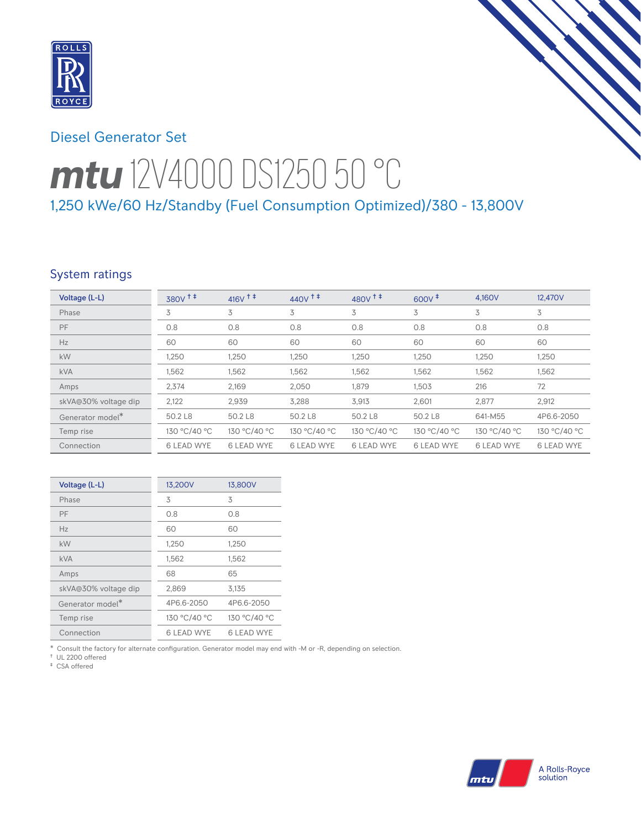

# Diesel Generator Set

# *mtu* 12V4000 DS1250 50 °C 1,250 kWe/60 Hz/Standby (Fuel Consumption Optimized)/380 - 13,800V

## System ratings

| Voltage (L-L)                | 380V <sup>++</sup> | $416V$ <sup>++</sup> | $440V$ <sup>++</sup> | 480 $V$ <sup><math>\ddagger</math></sup> $\ddagger$ | $600V^{\ddagger}$ | 4.160V            | 12,470V           |
|------------------------------|--------------------|----------------------|----------------------|-----------------------------------------------------|-------------------|-------------------|-------------------|
| Phase                        | 3                  | 3                    | 3                    | 3                                                   | 3                 | 3                 | 3                 |
| PF                           | 0.8                | 0.8                  | 0.8                  | 0.8                                                 | 0.8               | 0.8               | 0.8               |
| Hz                           | 60                 | 60                   | 60                   | 60                                                  | 60                | 60                | 60                |
| kW                           | 1,250              | 1,250                | 1,250                | 1,250                                               | 1,250             | 1,250             | 1,250             |
| <b>kVA</b>                   | 1,562              | 1,562                | 1,562                | 1,562                                               | 1,562             | 1,562             | 1,562             |
| Amps                         | 2,374              | 2.169                | 2,050                | 1,879                                               | 1,503             | 216               | 72                |
| skVA@30% voltage dip         | 2,122              | 2,939                | 3,288                | 3,913                                               | 2,601             | 2,877             | 2,912             |
| Generator model <sup>*</sup> | 50.2 L8            | 50.2 L8              | 50.2 L8              | 50.2 L8                                             | 50.2 L8           | 641-M55           | 4P6.6-2050        |
| Temp rise                    | 130 °C/40 °C       | 130 °C/40 °C         | 130 °C/40 °C         | 130 °C/40 °C                                        | 130 °C/40 °C      | 130 °C/40 °C      | 130 °C/40 °C      |
| Connection                   | <b>6 LEAD WYE</b>  | <b>6 LEAD WYE</b>    | <b>6 LEAD WYE</b>    | <b>6 LEAD WYE</b>                                   | <b>6 LEAD WYE</b> | <b>6 LEAD WYE</b> | <b>6 LEAD WYE</b> |

| Voltage (L-L)        | 13,200V           | 13,800V      |
|----------------------|-------------------|--------------|
| Phase                | 3                 | 3            |
| PF                   | 0.8               | 0.8          |
| Hz                   | 60                | 60           |
| kW                   | 1,250             | 1,250        |
| <b>kVA</b>           | 1,562             | 1,562        |
| Amps                 | 68                | 65           |
| skVA@30% voltage dip | 2,869             | 3,135        |
| Generator model*     | 4P6.6-2050        | 4P6.6-2050   |
| Temp rise            | 130 °C/40 °C      | 130 °C/40 °C |
| Connection           | <b>6 LEAD WYE</b> | 6 LEAD WYE   |

\* Consult the factory for alternate configuration. Generator model may end with -M or -R, depending on selection.

† UL 2200 offered ‡ CSA offered

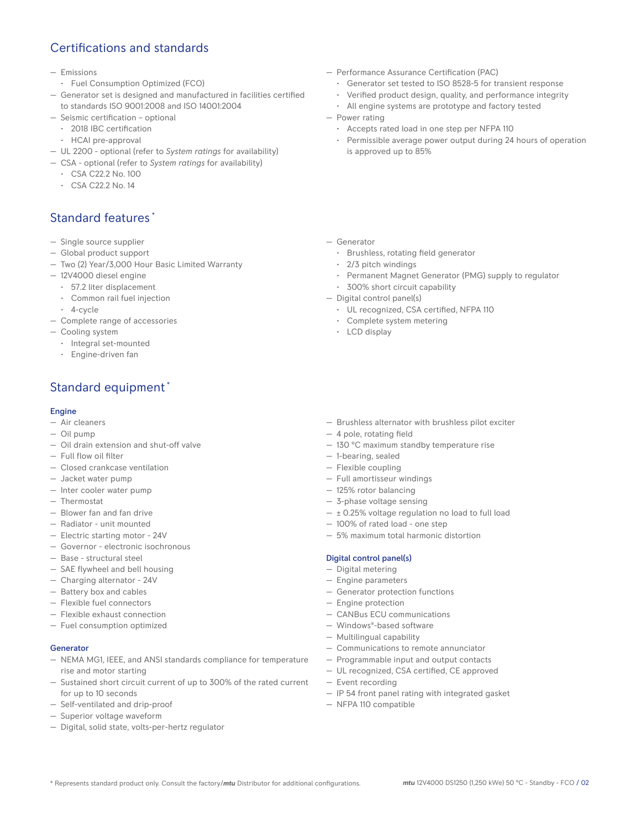# Certifications and standards

- Emissions
- Fuel Consumption Optimized (FCO)
- Generator set is designed and manufactured in facilities certified to standards ISO 9001:2008 and ISO 14001:2004
- Seismic certification optional
- 2018 IBC certification
- HCAI pre-approval
- UL 2200 optional (refer to *System ratings* for availability)
- CSA optional (refer to *System ratings* for availability)
	- CSA C22.2 No. 100
	- CSA C22.2 No. 14

# Standard features \*

- Single source supplier
- Global product support
- Two (2) Year/3,000 Hour Basic Limited Warranty
- 12V4000 diesel engine
	- 57.2 liter displacement
	- Common rail fuel injection
- 4-cycle
- Complete range of accessories
- Cooling system
	- Integral set-mounted
	- Engine-driven fan

# Standard equipment \*

#### **Engine**

- Air cleaners
- Oil pump
- Oil drain extension and shut-off valve
- Full flow oil filter
- Closed crankcase ventilation
- Jacket water pump
- Inter cooler water pump
- Thermostat
- Blower fan and fan drive
- Radiator unit mounted
- Electric starting motor 24V
- Governor electronic isochronous
- Base structural steel
- SAE flywheel and bell housing
- Charging alternator 24V
- Battery box and cables
- Flexible fuel connectors
- Flexible exhaust connection
- Fuel consumption optimized

## Generator

- NEMA MG1, IEEE, and ANSI standards compliance for temperature rise and motor starting
- Sustained short circuit current of up to 300% of the rated current for up to 10 seconds
- Self-ventilated and drip-proof
- Superior voltage waveform
- Digital, solid state, volts-per-hertz regulator
- Performance Assurance Certification (PAC)
	- Generator set tested to ISO 8528-5 for transient response
	- Verified product design, quality, and performance integrity
	- All engine systems are prototype and factory tested
- Power rating
	- Accepts rated load in one step per NFPA 110
	- Permissible average power output during 24 hours of operation is approved up to 85%
- Generator
	- Brushless, rotating field generator
	- 2/3 pitch windings
	- Permanent Magnet Generator (PMG) supply to regulator
	- 300% short circuit capability
- Digital control panel(s)
	- UL recognized, CSA certified, NFPA 110
	- Complete system metering
	- LCD display
- Brushless alternator with brushless pilot exciter
- 4 pole, rotating field
- 130 °C maximum standby temperature rise
- 1-bearing, sealed
- Flexible coupling
- Full amortisseur windings
- 125% rotor balancing
- 3-phase voltage sensing
- ± 0.25% voltage regulation no load to full load
- 100% of rated load one step
- 5% maximum total harmonic distortion

## Digital control panel(s)

- Digital metering
- Engine parameters
- Generator protection functions
- Engine protection
- CANBus ECU communications
- Windows®-based software
- Multilingual capability
- Communications to remote annunciator
- Programmable input and output contacts
- UL recognized, CSA certified, CE approved
- Event recording
- IP 54 front panel rating with integrated gasket
- NFPA 110 compatible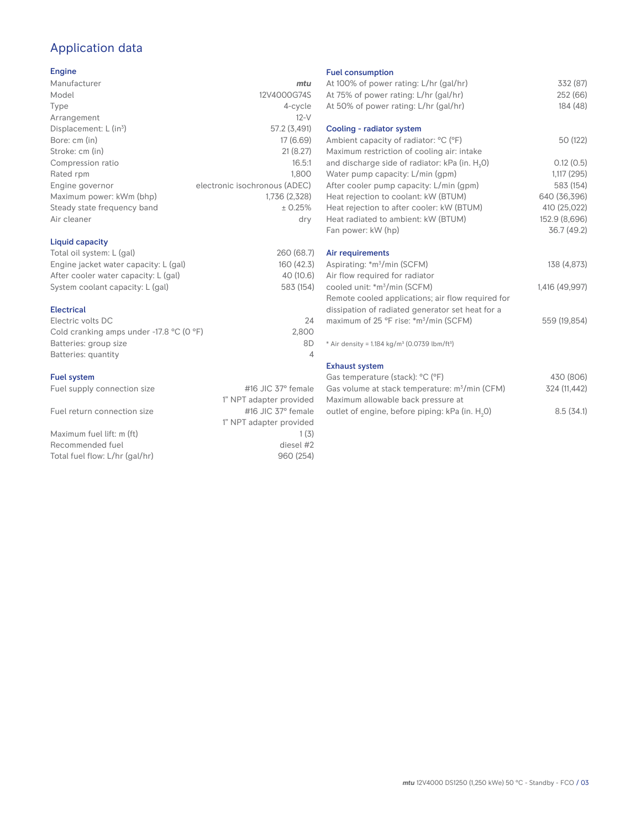# Application data

## Engine

| Manufacturer                         | mtu                           |
|--------------------------------------|-------------------------------|
| Model                                | 12V4000G74S                   |
| Type                                 | 4-cycle                       |
| Arrangement                          | $12-V$                        |
| Displacement: $L$ (in <sup>3</sup> ) | 57.2 (3,491)                  |
| Bore: cm (in)                        | 17(6.69)                      |
| Stroke: cm (in)                      | 21(8.27)                      |
| Compression ratio                    | 16.5:1                        |
| Rated rpm                            | 1.800                         |
| Engine governor                      | electronic isochronous (ADEC) |
| Maximum power: kWm (bhp)             | 1,736 (2,328)                 |
| Steady state frequency band          | ± 0.25%                       |
| Air cleaner                          | dry                           |
|                                      |                               |

## Liquid capacity

| Total oil system: L (gal)             | 260 (68.7) |
|---------------------------------------|------------|
| Engine jacket water capacity: L (gal) | 160 (42.3) |
| After cooler water capacity: L (gal)  | 40 (10.6)  |
| System coolant capacity: L (gal)      | 583 (154)  |
|                                       |            |

## Electrical

| 24    |
|-------|
| 2.800 |
| 8D    |
|       |
|       |

## Fuel system

| Fuel supply connection size    | #16 JIC $37^\circ$ female |
|--------------------------------|---------------------------|
|                                | 1" NPT adapter provided   |
| Fuel return connection size    | #16 JIC $37^\circ$ female |
|                                | 1" NPT adapter provided   |
| Maximum fuel lift: m (ft)      | 1(3)                      |
| Recommended fuel               | diesel #2                 |
| Total fuel flow: L/hr (gal/hr) | 960 (254)                 |
|                                |                           |

#### Fuel consumption

| At 100% of power rating: L/hr (gal/hr)                                | 332 (87)       |
|-----------------------------------------------------------------------|----------------|
| At 75% of power rating: L/hr (gal/hr)                                 | 252 (66)       |
| At 50% of power rating: L/hr (gal/hr)                                 | 184 (48)       |
| Cooling - radiator system                                             |                |
| Ambient capacity of radiator: °C (°F)                                 | 50 (122)       |
| Maximum restriction of cooling air: intake                            |                |
| and discharge side of radiator: kPa (in. H <sub>2</sub> O)            | 0.12(0.5)      |
| Water pump capacity: L/min (gpm)                                      | 1,117(295)     |
| After cooler pump capacity: L/min (gpm)                               | 583 (154)      |
| Heat rejection to coolant: kW (BTUM)                                  | 640 (36,396)   |
| Heat rejection to after cooler: kW (BTUM)                             | 410 (25,022)   |
| Heat radiated to ambient: kW (BTUM)                                   | 152.9 (8,696)  |
| Fan power: kW (hp)                                                    | 36.7 (49.2)    |
| Air requirements                                                      |                |
| Aspirating: *m <sup>3</sup> /min (SCFM)                               | 138 (4,873)    |
| Air flow required for radiator                                        |                |
| cooled unit: *m <sup>3</sup> /min (SCFM)                              | 1,416 (49,997) |
| Remote cooled applications; air flow required for                     |                |
| dissipation of radiated generator set heat for a                      |                |
| maximum of 25 °F rise: *m <sup>3</sup> /min (SCFM)                    | 559 (19,854)   |
|                                                                       |                |
| * Air density = 1.184 kg/m <sup>3</sup> (0.0739 lbm/ft <sup>3</sup> ) |                |
| <b>Exhaust system</b>                                                 |                |
| Gas temperature (stack): °C (°F)                                      | 430 (806)      |
| Gas volume at stack temperature: m <sup>3</sup> /min (CFM)            | 324 (11,442)   |

| Maximum allowable back pressure at                          |           |  |
|-------------------------------------------------------------|-----------|--|
| outlet of engine, before piping: kPa (in. H <sub>2</sub> 0) | 8.5(34.1) |  |